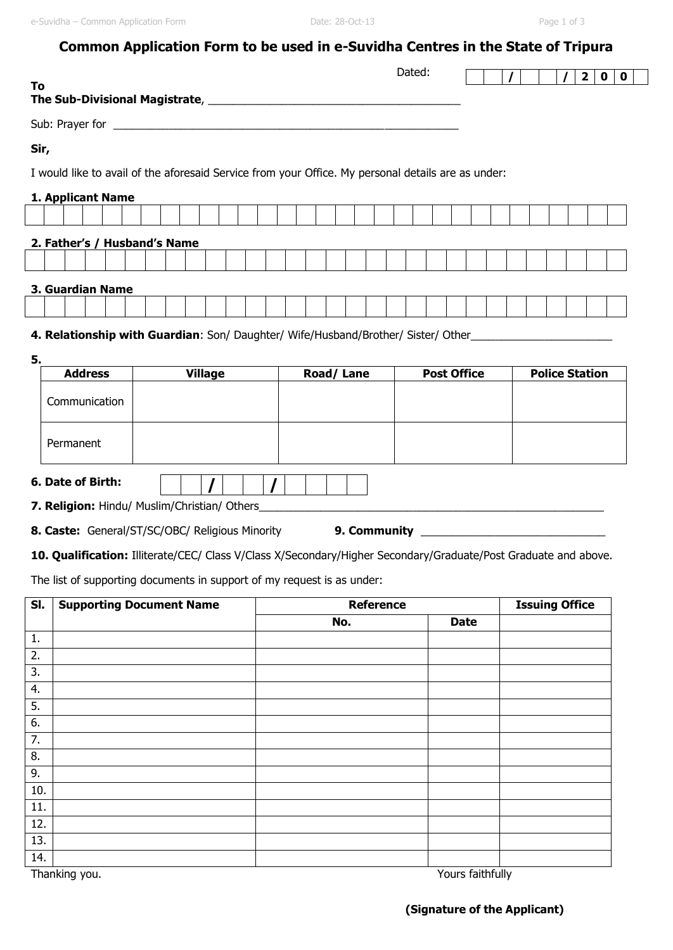|                                                                                                                 |                                 |        | Common Application Form to be used in e-Suvidha Centres in the State of Tripura |             |  |  |  |  |                       |  |  |                               |  |             |
|-----------------------------------------------------------------------------------------------------------------|---------------------------------|--------|---------------------------------------------------------------------------------|-------------|--|--|--|--|-----------------------|--|--|-------------------------------|--|-------------|
|                                                                                                                 |                                 | Dated: |                                                                                 |             |  |  |  |  |                       |  |  | 2 <sup>1</sup><br>$\mathbf 0$ |  | $\mathbf 0$ |
| To                                                                                                              |                                 |        |                                                                                 |             |  |  |  |  |                       |  |  |                               |  |             |
|                                                                                                                 |                                 |        |                                                                                 |             |  |  |  |  |                       |  |  |                               |  |             |
| Sir,                                                                                                            |                                 |        |                                                                                 |             |  |  |  |  |                       |  |  |                               |  |             |
| I would like to avail of the aforesaid Service from your Office. My personal details are as under:              |                                 |        |                                                                                 |             |  |  |  |  |                       |  |  |                               |  |             |
|                                                                                                                 |                                 |        |                                                                                 |             |  |  |  |  |                       |  |  |                               |  |             |
| 1. Applicant Name                                                                                               |                                 |        |                                                                                 |             |  |  |  |  |                       |  |  |                               |  |             |
|                                                                                                                 |                                 |        |                                                                                 |             |  |  |  |  |                       |  |  |                               |  |             |
| 2. Father's / Husband's Name                                                                                    |                                 |        |                                                                                 |             |  |  |  |  |                       |  |  |                               |  |             |
|                                                                                                                 |                                 |        |                                                                                 |             |  |  |  |  |                       |  |  |                               |  |             |
| 3. Guardian Name                                                                                                |                                 |        |                                                                                 |             |  |  |  |  |                       |  |  |                               |  |             |
|                                                                                                                 |                                 |        |                                                                                 |             |  |  |  |  |                       |  |  |                               |  |             |
| 4. Relationship with Guardian: Son/ Daughter/ Wife/Husband/Brother/ Sister/ Other                               |                                 |        |                                                                                 |             |  |  |  |  |                       |  |  |                               |  |             |
| 5.<br><b>Village</b><br><b>Address</b>                                                                          | Road/Lane<br><b>Post Office</b> |        |                                                                                 |             |  |  |  |  | <b>Police Station</b> |  |  |                               |  |             |
| Communication                                                                                                   |                                 |        |                                                                                 |             |  |  |  |  |                       |  |  |                               |  |             |
|                                                                                                                 |                                 |        |                                                                                 |             |  |  |  |  |                       |  |  |                               |  |             |
| Permanent                                                                                                       |                                 |        |                                                                                 |             |  |  |  |  |                       |  |  |                               |  |             |
|                                                                                                                 |                                 |        |                                                                                 |             |  |  |  |  |                       |  |  |                               |  |             |
| 6. Date of Birth:                                                                                               |                                 |        |                                                                                 |             |  |  |  |  |                       |  |  |                               |  |             |
| 7. Religion: Hindu/ Muslim/Christian/ Others_                                                                   |                                 |        |                                                                                 |             |  |  |  |  |                       |  |  |                               |  |             |
|                                                                                                                 | 9. Community                    |        |                                                                                 |             |  |  |  |  |                       |  |  |                               |  |             |
| <b>8. Caste:</b> General/ST/SC/OBC/ Religious Minority                                                          |                                 |        |                                                                                 |             |  |  |  |  |                       |  |  |                               |  |             |
| 10. Qualification: Illiterate/CEC/ Class V/Class X/Secondary/Higher Secondary/Graduate/Post Graduate and above. |                                 |        |                                                                                 |             |  |  |  |  |                       |  |  |                               |  |             |
| The list of supporting documents in support of my request is as under:                                          |                                 |        |                                                                                 |             |  |  |  |  |                       |  |  |                               |  |             |
| <b>Supporting Document Name</b><br>SI.                                                                          | <b>Reference</b>                |        |                                                                                 |             |  |  |  |  | <b>Issuing Office</b> |  |  |                               |  |             |
| No.                                                                                                             |                                 |        |                                                                                 | <b>Date</b> |  |  |  |  |                       |  |  |                               |  |             |
| 1.                                                                                                              |                                 |        |                                                                                 |             |  |  |  |  |                       |  |  |                               |  |             |
| 2.                                                                                                              |                                 |        |                                                                                 |             |  |  |  |  |                       |  |  |                               |  |             |
| 3.<br>4.                                                                                                        |                                 |        |                                                                                 |             |  |  |  |  |                       |  |  |                               |  |             |
| 5.                                                                                                              |                                 |        |                                                                                 |             |  |  |  |  |                       |  |  |                               |  |             |
| 6.                                                                                                              |                                 |        |                                                                                 |             |  |  |  |  |                       |  |  |                               |  |             |
| 7.                                                                                                              |                                 |        |                                                                                 |             |  |  |  |  |                       |  |  |                               |  |             |
| 8.<br>9.                                                                                                        |                                 |        |                                                                                 |             |  |  |  |  |                       |  |  |                               |  |             |
| 10.                                                                                                             |                                 |        |                                                                                 |             |  |  |  |  |                       |  |  |                               |  |             |
| 11.                                                                                                             |                                 |        |                                                                                 |             |  |  |  |  |                       |  |  |                               |  |             |
| 12.                                                                                                             |                                 |        |                                                                                 |             |  |  |  |  |                       |  |  |                               |  |             |
| 13.<br>14.                                                                                                      |                                 |        |                                                                                 |             |  |  |  |  |                       |  |  |                               |  |             |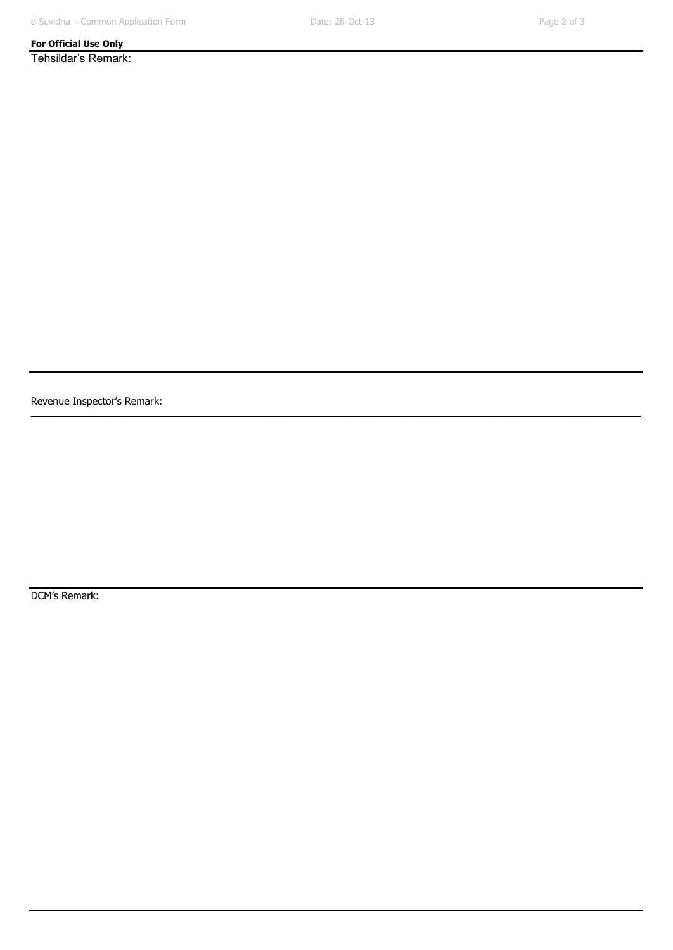**\_\_\_\_\_\_\_\_\_\_\_\_\_\_\_\_\_\_\_\_\_\_\_\_\_\_\_\_\_\_\_\_\_\_\_\_\_\_\_\_\_\_\_\_\_\_\_\_\_\_\_\_\_\_\_\_\_\_\_\_\_\_\_\_\_\_\_\_\_\_\_\_\_\_\_\_\_\_\_\_\_\_\_\_\_\_\_\_\_\_\_\_\_\_\_\_\_\_\_\_\_\_\_\_\_\_**

## **For Official Use Only**

Tehsildar's Remark:

Revenue Inspector's Remark:

DCM's Remark: